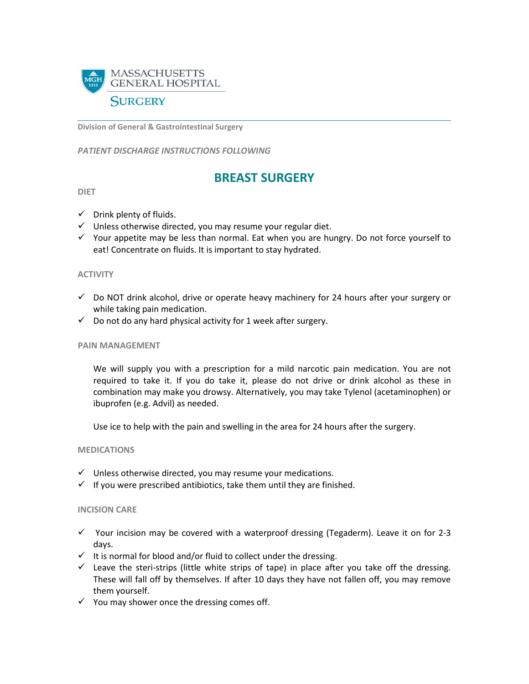

**Division of General & Gastrointestinal Surgery**

*PATIENT DISCHARGE INSTRUCTIONS FOLLOWING* 

# **BREAST SURGERY**

## **DIET**

- $\checkmark$  Drink plenty of fluids.
- $\checkmark$  Unless otherwise directed, you may resume your regular diet.
- $\checkmark$  Your appetite may be less than normal. Eat when you are hungry. Do not force yourself to eat! Concentrate on fluids. It is important to stay hydrated.

#### **ACTIVITY**

- $\checkmark$  Do NOT drink alcohol, drive or operate heavy machinery for 24 hours after your surgery or while taking pain medication.
- $\checkmark$  Do not do any hard physical activity for 1 week after surgery.

## **PAIN MANAGEMENT**

We will supply you with a prescription for a mild narcotic pain medication. You are not required to take it. If you do take it, please do not drive or drink alcohol as these in combination may make you drowsy. Alternatively, you may take Tylenol (acetaminophen) or ibuprofen (e.g. Advil) as needed.

Use ice to help with the pain and swelling in the area for 24 hours after the surgery.

## **MEDICATIONS**

- $\checkmark$  Unless otherwise directed, you may resume your medications.
- $\checkmark$  If you were prescribed antibiotics, take them until they are finished.

## **INCISION CARE**

- $\checkmark$  Your incision may be covered with a waterproof dressing (Tegaderm). Leave it on for 2-3 days.
- $\checkmark$  It is normal for blood and/or fluid to collect under the dressing.
- $\checkmark$  Leave the steri-strips (little white strips of tape) in place after you take off the dressing. These will fall off by themselves. If after 10 days they have not fallen off, you may remove them yourself.
- $\checkmark$  You may shower once the dressing comes off.